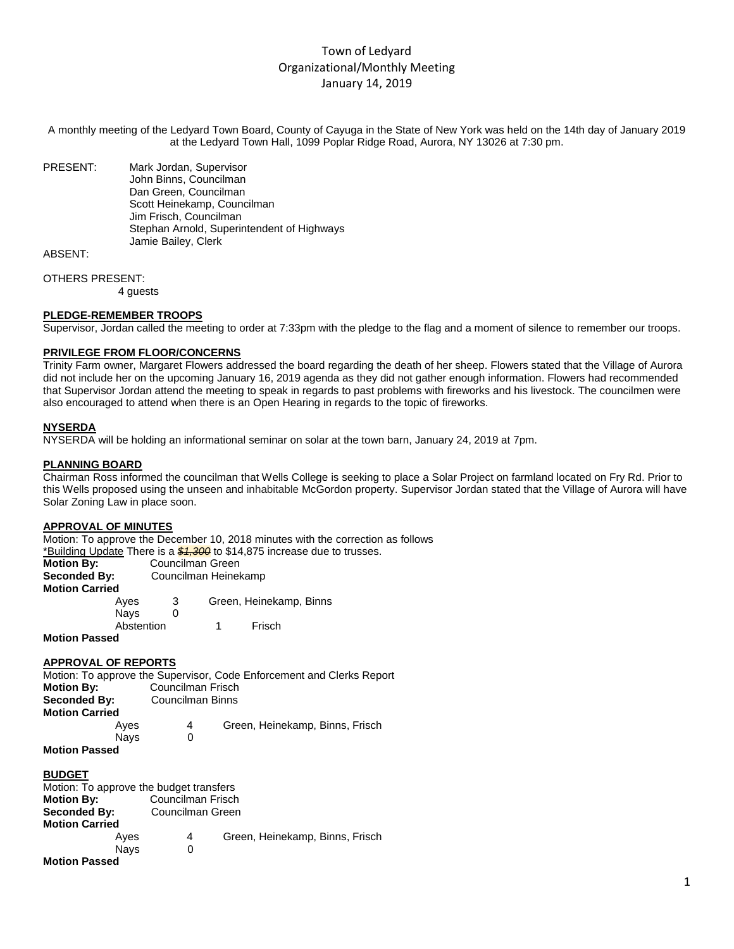A monthly meeting of the Ledyard Town Board, County of Cayuga in the State of New York was held on the 14th day of January 2019 at the Ledyard Town Hall, 1099 Poplar Ridge Road, Aurora, NY 13026 at 7:30 pm.

PRESENT: Mark Jordan, Supervisor John Binns, Councilman Dan Green, Councilman Scott Heinekamp, Councilman Jim Frisch, Councilman Stephan Arnold, Superintendent of Highways Jamie Bailey, Clerk

ABSENT:

OTHERS PRESENT: 4 guests

## **PLEDGE-REMEMBER TROOPS**

Supervisor, Jordan called the meeting to order at 7:33pm with the pledge to the flag and a moment of silence to remember our troops.

#### **PRIVILEGE FROM FLOOR/CONCERNS**

Trinity Farm owner, Margaret Flowers addressed the board regarding the death of her sheep. Flowers stated that the Village of Aurora did not include her on the upcoming January 16, 2019 agenda as they did not gather enough information. Flowers had recommended that Supervisor Jordan attend the meeting to speak in regards to past problems with fireworks and his livestock. The councilmen were also encouraged to attend when there is an Open Hearing in regards to the topic of fireworks.

## **NYSERDA**

NYSERDA will be holding an informational seminar on solar at the town barn, January 24, 2019 at 7pm.

#### **PLANNING BOARD**

Chairman Ross informed the councilman that Wells College is seeking to place a Solar Project on farmland located on Fry Rd. Prior to this Wells proposed using the unseen and inhabitable McGordon property. Supervisor Jordan stated that the Village of Aurora will have Solar Zoning Law in place soon.

## **APPROVAL OF MINUTES**

Motion: To approve the December 10, 2018 minutes with the correction as follows \*Building Update There is a *\$1,300* to \$14,875 increase due to trusses. **Motion By:** Councilman Green **Seconded By:** Councilman Heinekamp **Motion Carried**

| Aves                 |  | Green, Heinekamp, Binns |  |
|----------------------|--|-------------------------|--|
| Navs                 |  |                         |  |
| Abstention           |  | Frisch                  |  |
| <b>Motion Passed</b> |  |                         |  |

## **APPROVAL OF REPORTS**

Motion: To approve the Supervisor, Code Enforcement and Clerks Report<br>**Motion By:** Councilman Frisch **Motion By:** Councilman Frisch **Seconded By:** Councilman Binns **Motion Carried** Ayes 4 Green, Heinekamp, Binns, Frisch Navs 0 **Motion Passed**

#### **BUDGET**

| Motion: To approve the budget transfers |             |                   |                                 |  |
|-----------------------------------------|-------------|-------------------|---------------------------------|--|
| <b>Motion By:</b>                       |             | Councilman Frisch |                                 |  |
| Seconded By:                            |             | Councilman Green  |                                 |  |
| <b>Motion Carried</b>                   |             |                   |                                 |  |
|                                         | Ayes        | 4                 | Green, Heinekamp, Binns, Frisch |  |
|                                         | <b>Navs</b> | 0                 |                                 |  |
| <b>Motion Passed</b>                    |             |                   |                                 |  |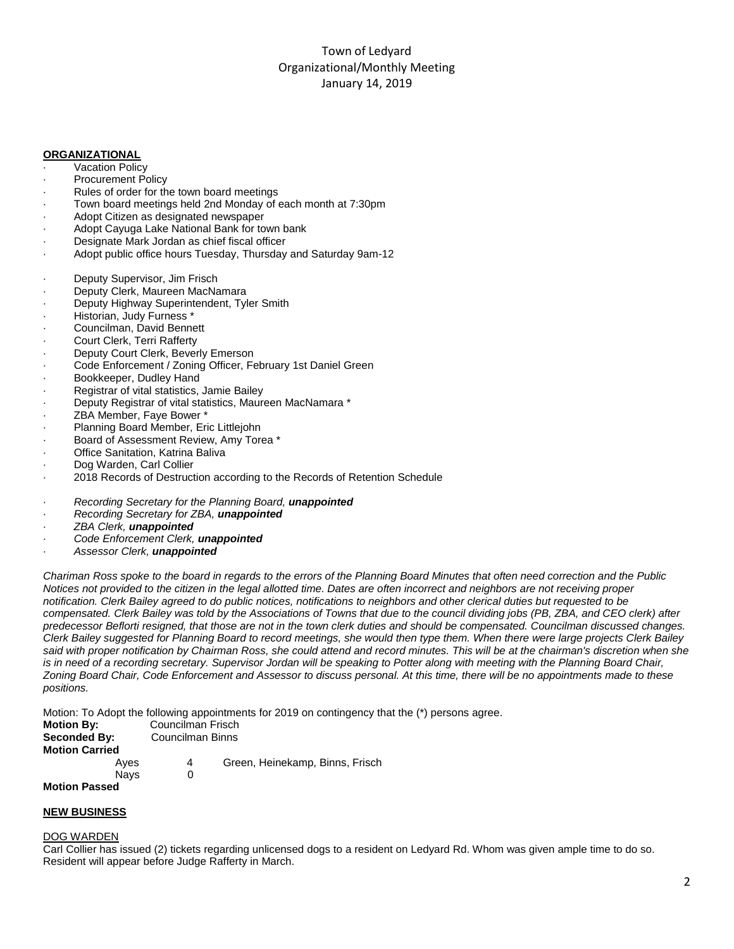## **ORGANIZATIONAL**

## **Vacation Policy**

- Procurement Policy
- Rules of order for the town board meetings
- Town board meetings held 2nd Monday of each month at 7:30pm
- Adopt Citizen as designated newspaper
- Adopt Cayuga Lake National Bank for town bank
- Designate Mark Jordan as chief fiscal officer
- Adopt public office hours Tuesday, Thursday and Saturday 9am-12
- Deputy Supervisor, Jim Frisch
- Deputy Clerk, Maureen MacNamara
- Deputy Highway Superintendent, Tyler Smith
- · Historian, Judy Furness \*
- · Councilman, David Bennett
- Court Clerk, Terri Rafferty
- Deputy Court Clerk, Beverly Emerson
- Code Enforcement / Zoning Officer, February 1st Daniel Green
- Bookkeeper, Dudley Hand
- · Registrar of vital statistics, Jamie Bailey
- · Deputy Registrar of vital statistics, Maureen MacNamara \*
- · ZBA Member, Faye Bower \*
- Planning Board Member, Eric Littlejohn
- Board of Assessment Review, Amy Torea \*
- Office Sanitation, Katrina Baliva
- Dog Warden, Carl Collier
- · 2018 Records of Destruction according to the Records of Retention Schedule
- · *Recording Secretary for the Planning Board, unappointed*
- · *Recording Secretary for ZBA, unappointed*
- · *ZBA Clerk, unappointed*
- · *Code Enforcement Clerk, unappointed*
- · *Assessor Clerk, unappointed*

Chariman Ross spoke to the board in regards to the errors of the Planning Board Minutes that often need correction and the Public Notices not provided to the citizen in the legal allotted time. Dates are often incorrect and neighbors are not receiving proper notification. Clerk Bailey agreed to do public notices, notifications to neighbors and other clerical duties but requested to be compensated. Clerk Bailey was told by the Associations of Towns that due to the council dividing jobs (PB, ZBA, and CEO clerk) after predecessor Beflorti resigned, that those are not in the town clerk duties and should be compensated. Councilman discussed changes. Clerk Bailey suggested for Planning Board to record meetings, she would then type them. When there were large projects Clerk Bailey said with proper notification by Chairman Ross, she could attend and record minutes. This will be at the chairman's discretion when she is in need of a recording secretary. Supervisor Jordan will be speaking to Potter along with meeting with the Planning Board Chair, Zoning Board Chair, Code Enforcement and Assessor to discuss personal. At this time, there will be no appointments made to these *positions.*

Motion: To Adopt the following appointments for 2019 on contingency that the (\*) persons agree.

| <b>Motion By:</b>     | Councilman Frisch |                                 |  |
|-----------------------|-------------------|---------------------------------|--|
| Seconded By:          | Councilman Binns  |                                 |  |
| <b>Motion Carried</b> |                   |                                 |  |
| Aves                  | 4                 | Green, Heinekamp, Binns, Frisch |  |
| <b>Navs</b>           |                   |                                 |  |
| <b>Motion Passed</b>  |                   |                                 |  |

# **NEW BUSINESS**

## DOG WARDEN

Carl Collier has issued (2) tickets regarding unlicensed dogs to a resident on Ledyard Rd. Whom was given ample time to do so. Resident will appear before Judge Rafferty in March.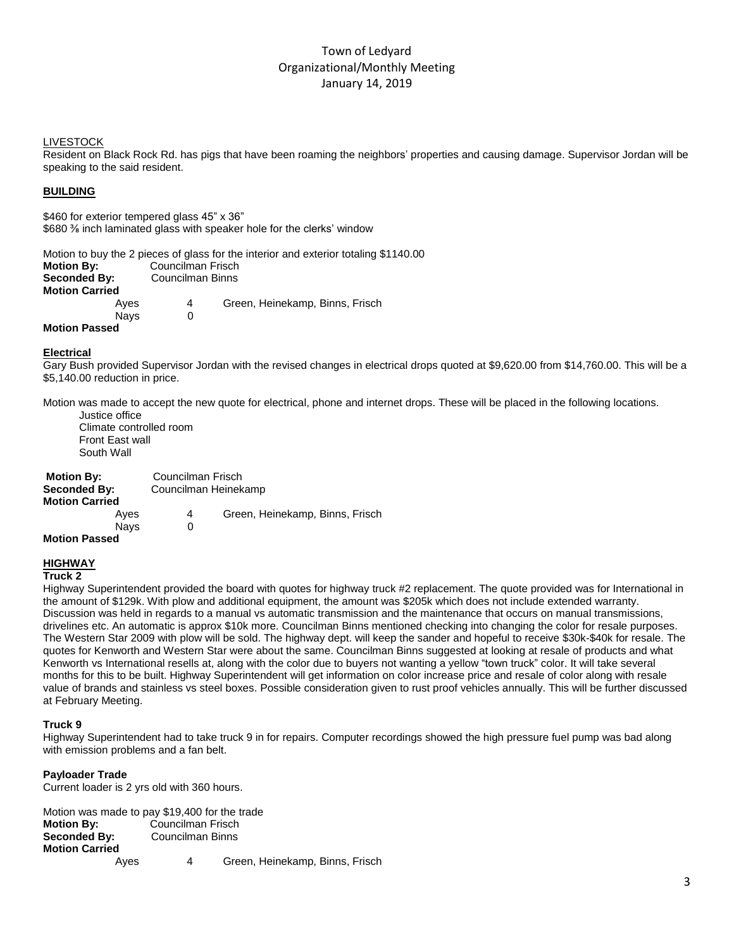#### LIVESTOCK

Resident on Black Rock Rd. has pigs that have been roaming the neighbors' properties and causing damage. Supervisor Jordan will be speaking to the said resident.

## **BUILDING**

\$460 for exterior tempered glass 45" x 36" \$680 ⅜ inch laminated glass with speaker hole for the clerks' window

|                       |             |                   | Motion to buy the 2 pieces of glass for the interior and exterior totaling \$1140.00 |  |
|-----------------------|-------------|-------------------|--------------------------------------------------------------------------------------|--|
| <b>Motion By:</b>     |             | Councilman Frisch |                                                                                      |  |
| Seconded By:          |             | Councilman Binns  |                                                                                      |  |
| <b>Motion Carried</b> |             |                   |                                                                                      |  |
|                       | Ayes        | 4                 | Green, Heinekamp, Binns, Frisch                                                      |  |
|                       | <b>Navs</b> |                   |                                                                                      |  |
| <b>Motion Passed</b>  |             |                   |                                                                                      |  |

## **Electrical**

Gary Bush provided Supervisor Jordan with the revised changes in electrical drops quoted at \$9,620.00 from \$14,760.00. This will be a \$5,140.00 reduction in price.

Motion was made to accept the new quote for electrical, phone and internet drops. These will be placed in the following locations.

 Justice office Climate controlled room Front East wall South Wall

| <b>Motion By:</b><br>Seconded By: |             | Councilman Frisch<br>Councilman Heinekamp |                                 |  |
|-----------------------------------|-------------|-------------------------------------------|---------------------------------|--|
| <b>Motion Carried</b>             |             |                                           |                                 |  |
|                                   | Ayes        | 4                                         | Green, Heinekamp, Binns, Frisch |  |
|                                   | <b>Navs</b> |                                           |                                 |  |
| <b>Motion Passed</b>              |             |                                           |                                 |  |

# **HIGHWAY**

**Truck 2**

Highway Superintendent provided the board with quotes for highway truck #2 replacement. The quote provided was for International in the amount of \$129k. With plow and additional equipment, the amount was \$205k which does not include extended warranty. Discussion was held in regards to a manual vs automatic transmission and the maintenance that occurs on manual transmissions, drivelines etc. An automatic is approx \$10k more. Councilman Binns mentioned checking into changing the color for resale purposes. The Western Star 2009 with plow will be sold. The highway dept. will keep the sander and hopeful to receive \$30k-\$40k for resale. The quotes for Kenworth and Western Star were about the same. Councilman Binns suggested at looking at resale of products and what Kenworth vs International resells at, along with the color due to buyers not wanting a yellow "town truck" color. It will take several months for this to be built. Highway Superintendent will get information on color increase price and resale of color along with resale value of brands and stainless vs steel boxes. Possible consideration given to rust proof vehicles annually. This will be further discussed at February Meeting.

#### **Truck 9**

Highway Superintendent had to take truck 9 in for repairs. Computer recordings showed the high pressure fuel pump was bad along with emission problems and a fan belt.

#### **Payloader Trade**

Current loader is 2 yrs old with 360 hours.

Motion was made to pay \$19,400 for the trade<br> **Motion Bv:** Councilman Frisch **Motion By:** Councilman Frisch<br>**Seconded By:** Councilman Binns **Seconded By:** Councilman Binns **Motion Carried** Ayes 4 Green, Heinekamp, Binns, Frisch